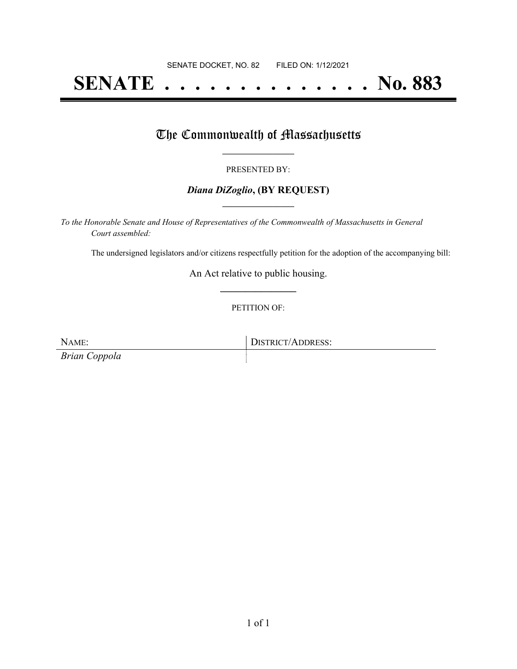# **SENATE . . . . . . . . . . . . . . No. 883**

## The Commonwealth of Massachusetts

## PRESENTED BY:

## *Diana DiZoglio***, (BY REQUEST) \_\_\_\_\_\_\_\_\_\_\_\_\_\_\_\_\_**

*To the Honorable Senate and House of Representatives of the Commonwealth of Massachusetts in General Court assembled:*

The undersigned legislators and/or citizens respectfully petition for the adoption of the accompanying bill:

An Act relative to public housing. **\_\_\_\_\_\_\_\_\_\_\_\_\_\_\_**

## PETITION OF:

*Brian Coppola*

NAME: DISTRICT/ADDRESS: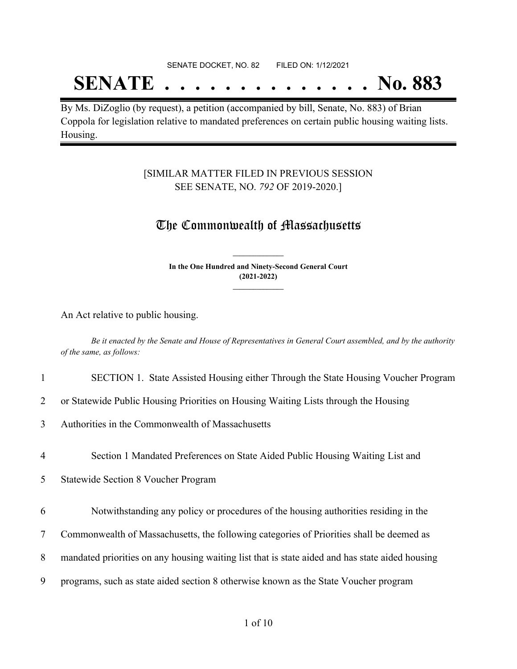#### SENATE DOCKET, NO. 82 FILED ON: 1/12/2021

# **SENATE . . . . . . . . . . . . . . No. 883**

By Ms. DiZoglio (by request), a petition (accompanied by bill, Senate, No. 883) of Brian Coppola for legislation relative to mandated preferences on certain public housing waiting lists. Housing.

## [SIMILAR MATTER FILED IN PREVIOUS SESSION SEE SENATE, NO. *792* OF 2019-2020.]

## The Commonwealth of Massachusetts

**In the One Hundred and Ninety-Second General Court (2021-2022) \_\_\_\_\_\_\_\_\_\_\_\_\_\_\_**

**\_\_\_\_\_\_\_\_\_\_\_\_\_\_\_**

An Act relative to public housing.

Be it enacted by the Senate and House of Representatives in General Court assembled, and by the authority *of the same, as follows:*

## 1 SECTION 1. State Assisted Housing either Through the State Housing Voucher Program

2 or Statewide Public Housing Priorities on Housing Waiting Lists through the Housing

3 Authorities in the Commonwealth of Massachusetts

4 Section 1 Mandated Preferences on State Aided Public Housing Waiting List and

5 Statewide Section 8 Voucher Program

6 Notwithstanding any policy or procedures of the housing authorities residing in the

7 Commonwealth of Massachusetts, the following categories of Priorities shall be deemed as

8 mandated priorities on any housing waiting list that is state aided and has state aided housing

9 programs, such as state aided section 8 otherwise known as the State Voucher program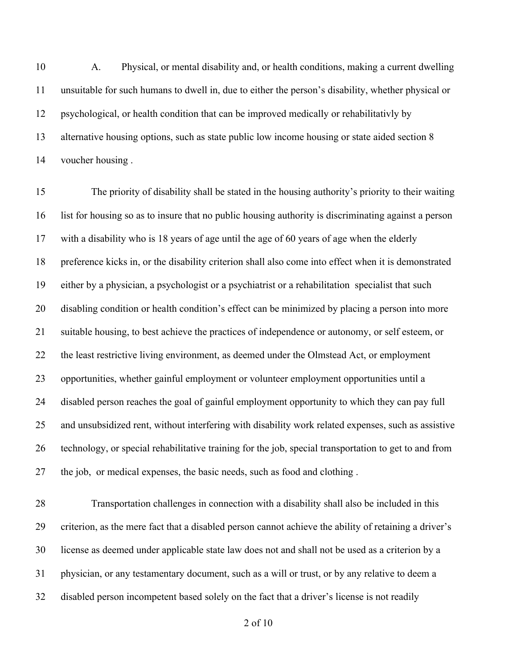A. Physical, or mental disability and, or health conditions, making a current dwelling unsuitable for such humans to dwell in, due to either the person's disability, whether physical or psychological, or health condition that can be improved medically or rehabilitativly by alternative housing options, such as state public low income housing or state aided section 8 voucher housing .

 The priority of disability shall be stated in the housing authority's priority to their waiting list for housing so as to insure that no public housing authority is discriminating against a person with a disability who is 18 years of age until the age of 60 years of age when the elderly preference kicks in, or the disability criterion shall also come into effect when it is demonstrated either by a physician, a psychologist or a psychiatrist or a rehabilitation specialist that such disabling condition or health condition's effect can be minimized by placing a person into more suitable housing, to best achieve the practices of independence or autonomy, or self esteem, or the least restrictive living environment, as deemed under the Olmstead Act, or employment opportunities, whether gainful employment or volunteer employment opportunities until a disabled person reaches the goal of gainful employment opportunity to which they can pay full and unsubsidized rent, without interfering with disability work related expenses, such as assistive technology, or special rehabilitative training for the job, special transportation to get to and from the job, or medical expenses, the basic needs, such as food and clothing .

 Transportation challenges in connection with a disability shall also be included in this criterion, as the mere fact that a disabled person cannot achieve the ability of retaining a driver's license as deemed under applicable state law does not and shall not be used as a criterion by a physician, or any testamentary document, such as a will or trust, or by any relative to deem a disabled person incompetent based solely on the fact that a driver's license is not readily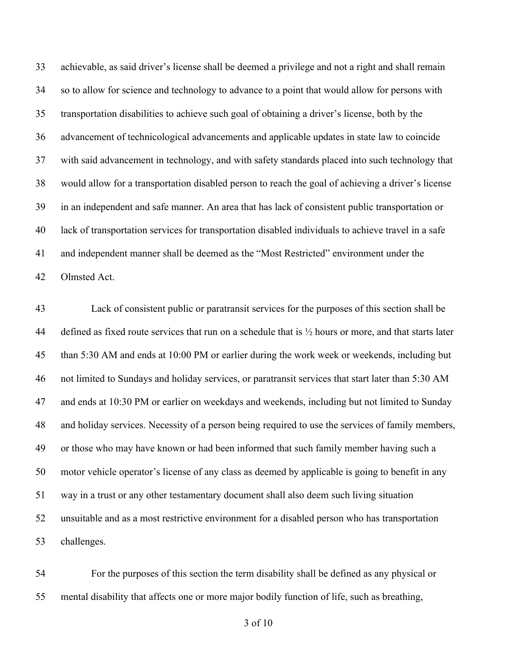achievable, as said driver's license shall be deemed a privilege and not a right and shall remain so to allow for science and technology to advance to a point that would allow for persons with transportation disabilities to achieve such goal of obtaining a driver's license, both by the advancement of technicological advancements and applicable updates in state law to coincide with said advancement in technology, and with safety standards placed into such technology that would allow for a transportation disabled person to reach the goal of achieving a driver's license in an independent and safe manner. An area that has lack of consistent public transportation or lack of transportation services for transportation disabled individuals to achieve travel in a safe and independent manner shall be deemed as the "Most Restricted" environment under the Olmsted Act.

 Lack of consistent public or paratransit services for the purposes of this section shall be defined as fixed route services that run on a schedule that is ½ hours or more, and that starts later than 5:30 AM and ends at 10:00 PM or earlier during the work week or weekends, including but not limited to Sundays and holiday services, or paratransit services that start later than 5:30 AM and ends at 10:30 PM or earlier on weekdays and weekends, including but not limited to Sunday and holiday services. Necessity of a person being required to use the services of family members, or those who may have known or had been informed that such family member having such a motor vehicle operator's license of any class as deemed by applicable is going to benefit in any way in a trust or any other testamentary document shall also deem such living situation unsuitable and as a most restrictive environment for a disabled person who has transportation challenges.

 For the purposes of this section the term disability shall be defined as any physical or mental disability that affects one or more major bodily function of life, such as breathing,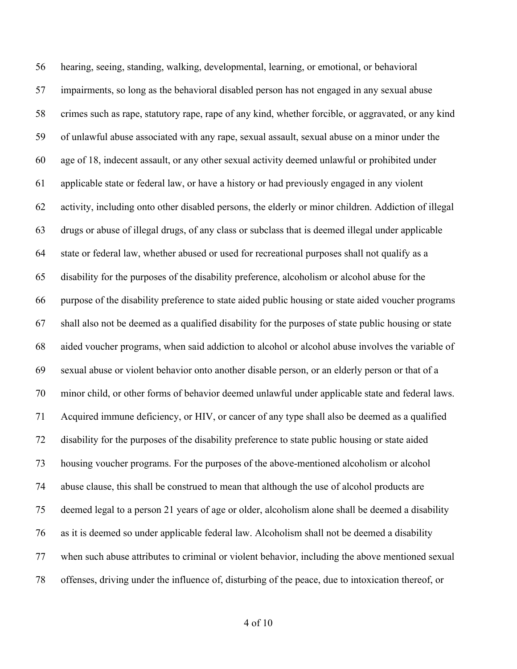hearing, seeing, standing, walking, developmental, learning, or emotional, or behavioral impairments, so long as the behavioral disabled person has not engaged in any sexual abuse crimes such as rape, statutory rape, rape of any kind, whether forcible, or aggravated, or any kind of unlawful abuse associated with any rape, sexual assault, sexual abuse on a minor under the age of 18, indecent assault, or any other sexual activity deemed unlawful or prohibited under applicable state or federal law, or have a history or had previously engaged in any violent activity, including onto other disabled persons, the elderly or minor children. Addiction of illegal drugs or abuse of illegal drugs, of any class or subclass that is deemed illegal under applicable state or federal law, whether abused or used for recreational purposes shall not qualify as a disability for the purposes of the disability preference, alcoholism or alcohol abuse for the purpose of the disability preference to state aided public housing or state aided voucher programs shall also not be deemed as a qualified disability for the purposes of state public housing or state aided voucher programs, when said addiction to alcohol or alcohol abuse involves the variable of sexual abuse or violent behavior onto another disable person, or an elderly person or that of a minor child, or other forms of behavior deemed unlawful under applicable state and federal laws. Acquired immune deficiency, or HIV, or cancer of any type shall also be deemed as a qualified disability for the purposes of the disability preference to state public housing or state aided housing voucher programs. For the purposes of the above-mentioned alcoholism or alcohol abuse clause, this shall be construed to mean that although the use of alcohol products are deemed legal to a person 21 years of age or older, alcoholism alone shall be deemed a disability as it is deemed so under applicable federal law. Alcoholism shall not be deemed a disability when such abuse attributes to criminal or violent behavior, including the above mentioned sexual offenses, driving under the influence of, disturbing of the peace, due to intoxication thereof, or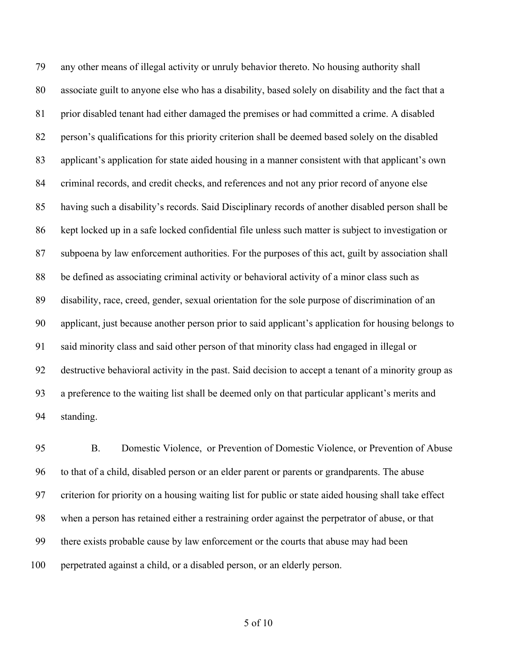any other means of illegal activity or unruly behavior thereto. No housing authority shall associate guilt to anyone else who has a disability, based solely on disability and the fact that a prior disabled tenant had either damaged the premises or had committed a crime. A disabled person's qualifications for this priority criterion shall be deemed based solely on the disabled applicant's application for state aided housing in a manner consistent with that applicant's own 84 criminal records, and credit checks, and references and not any prior record of anyone else having such a disability's records. Said Disciplinary records of another disabled person shall be kept locked up in a safe locked confidential file unless such matter is subject to investigation or subpoena by law enforcement authorities. For the purposes of this act, guilt by association shall be defined as associating criminal activity or behavioral activity of a minor class such as disability, race, creed, gender, sexual orientation for the sole purpose of discrimination of an applicant, just because another person prior to said applicant's application for housing belongs to said minority class and said other person of that minority class had engaged in illegal or destructive behavioral activity in the past. Said decision to accept a tenant of a minority group as a preference to the waiting list shall be deemed only on that particular applicant's merits and standing.

 B. Domestic Violence, or Prevention of Domestic Violence, or Prevention of Abuse to that of a child, disabled person or an elder parent or parents or grandparents. The abuse criterion for priority on a housing waiting list for public or state aided housing shall take effect when a person has retained either a restraining order against the perpetrator of abuse, or that there exists probable cause by law enforcement or the courts that abuse may had been perpetrated against a child, or a disabled person, or an elderly person.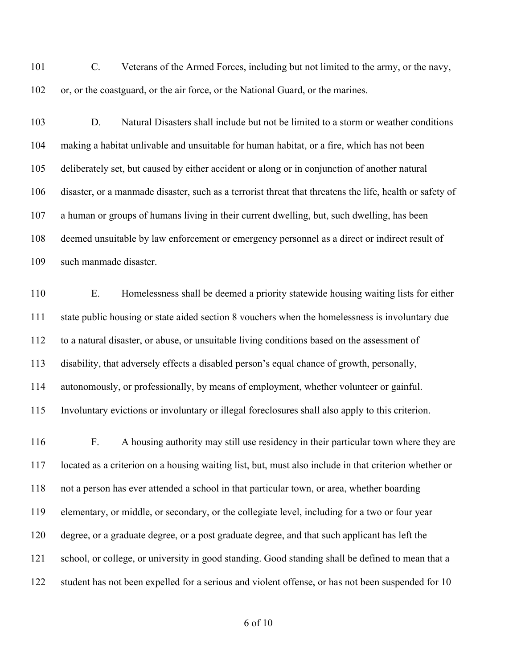C. Veterans of the Armed Forces, including but not limited to the army, or the navy, or, or the coastguard, or the air force, or the National Guard, or the marines.

 D. Natural Disasters shall include but not be limited to a storm or weather conditions making a habitat unlivable and unsuitable for human habitat, or a fire, which has not been deliberately set, but caused by either accident or along or in conjunction of another natural disaster, or a manmade disaster, such as a terrorist threat that threatens the life, health or safety of a human or groups of humans living in their current dwelling, but, such dwelling, has been deemed unsuitable by law enforcement or emergency personnel as a direct or indirect result of such manmade disaster.

 E. Homelessness shall be deemed a priority statewide housing waiting lists for either state public housing or state aided section 8 vouchers when the homelessness is involuntary due to a natural disaster, or abuse, or unsuitable living conditions based on the assessment of disability, that adversely effects a disabled person's equal chance of growth, personally, autonomously, or professionally, by means of employment, whether volunteer or gainful. Involuntary evictions or involuntary or illegal foreclosures shall also apply to this criterion.

 F. A housing authority may still use residency in their particular town where they are located as a criterion on a housing waiting list, but, must also include in that criterion whether or not a person has ever attended a school in that particular town, or area, whether boarding elementary, or middle, or secondary, or the collegiate level, including for a two or four year degree, or a graduate degree, or a post graduate degree, and that such applicant has left the school, or college, or university in good standing. Good standing shall be defined to mean that a student has not been expelled for a serious and violent offense, or has not been suspended for 10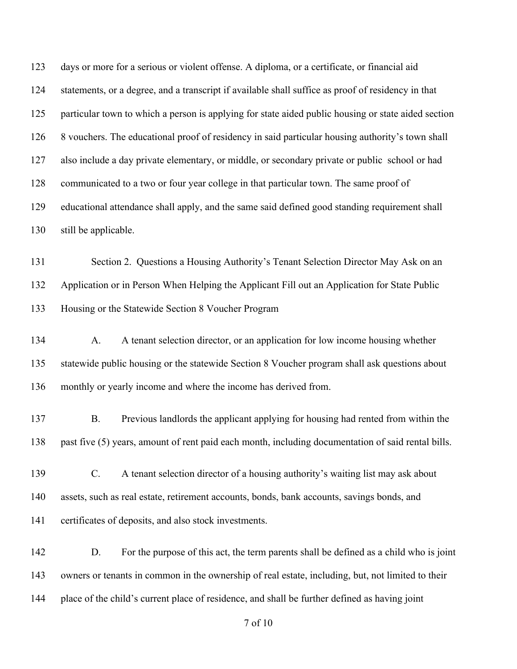days or more for a serious or violent offense. A diploma, or a certificate, or financial aid statements, or a degree, and a transcript if available shall suffice as proof of residency in that particular town to which a person is applying for state aided public housing or state aided section 8 vouchers. The educational proof of residency in said particular housing authority's town shall also include a day private elementary, or middle, or secondary private or public school or had communicated to a two or four year college in that particular town. The same proof of educational attendance shall apply, and the same said defined good standing requirement shall still be applicable.

 Section 2. Questions a Housing Authority's Tenant Selection Director May Ask on an Application or in Person When Helping the Applicant Fill out an Application for State Public Housing or the Statewide Section 8 Voucher Program

 A. A tenant selection director, or an application for low income housing whether statewide public housing or the statewide Section 8 Voucher program shall ask questions about monthly or yearly income and where the income has derived from.

 B. Previous landlords the applicant applying for housing had rented from within the past five (5) years, amount of rent paid each month, including documentation of said rental bills.

- C. A tenant selection director of a housing authority's waiting list may ask about assets, such as real estate, retirement accounts, bonds, bank accounts, savings bonds, and certificates of deposits, and also stock investments.
- D. For the purpose of this act, the term parents shall be defined as a child who is joint owners or tenants in common in the ownership of real estate, including, but, not limited to their place of the child's current place of residence, and shall be further defined as having joint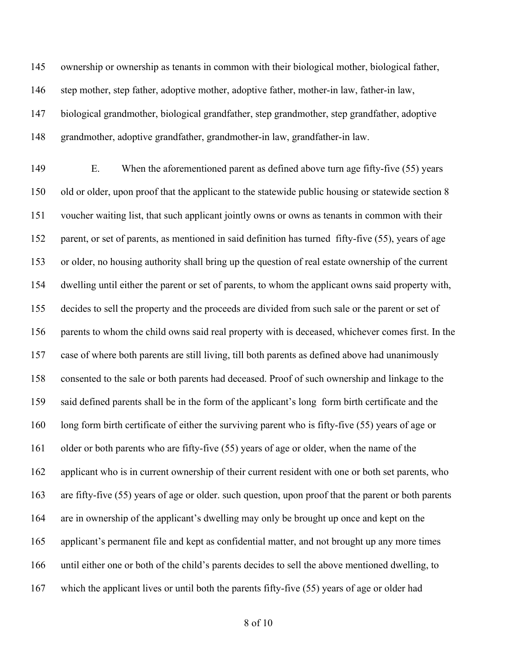ownership or ownership as tenants in common with their biological mother, biological father, step mother, step father, adoptive mother, adoptive father, mother-in law, father-in law, biological grandmother, biological grandfather, step grandmother, step grandfather, adoptive grandmother, adoptive grandfather, grandmother-in law, grandfather-in law.

 E. When the aforementioned parent as defined above turn age fifty-five (55) years old or older, upon proof that the applicant to the statewide public housing or statewide section 8 voucher waiting list, that such applicant jointly owns or owns as tenants in common with their parent, or set of parents, as mentioned in said definition has turned fifty-five (55), years of age or older, no housing authority shall bring up the question of real estate ownership of the current dwelling until either the parent or set of parents, to whom the applicant owns said property with, decides to sell the property and the proceeds are divided from such sale or the parent or set of parents to whom the child owns said real property with is deceased, whichever comes first. In the case of where both parents are still living, till both parents as defined above had unanimously consented to the sale or both parents had deceased. Proof of such ownership and linkage to the said defined parents shall be in the form of the applicant's long form birth certificate and the long form birth certificate of either the surviving parent who is fifty-five (55) years of age or older or both parents who are fifty-five (55) years of age or older, when the name of the applicant who is in current ownership of their current resident with one or both set parents, who are fifty-five (55) years of age or older. such question, upon proof that the parent or both parents are in ownership of the applicant's dwelling may only be brought up once and kept on the applicant's permanent file and kept as confidential matter, and not brought up any more times until either one or both of the child's parents decides to sell the above mentioned dwelling, to which the applicant lives or until both the parents fifty-five (55) years of age or older had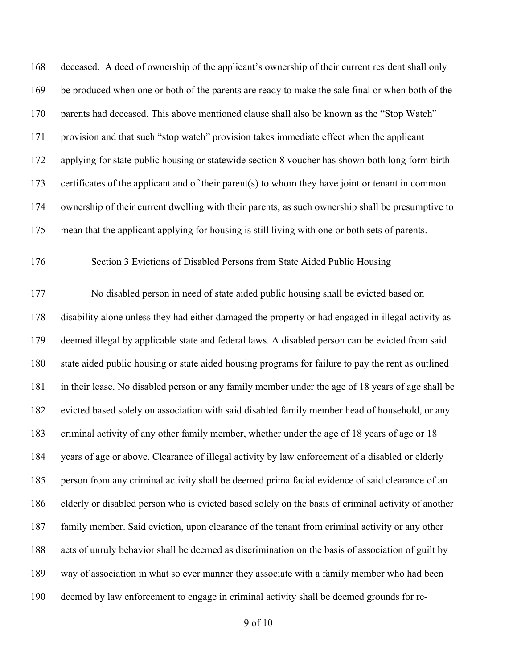deceased. A deed of ownership of the applicant's ownership of their current resident shall only be produced when one or both of the parents are ready to make the sale final or when both of the parents had deceased. This above mentioned clause shall also be known as the "Stop Watch" provision and that such "stop watch" provision takes immediate effect when the applicant applying for state public housing or statewide section 8 voucher has shown both long form birth certificates of the applicant and of their parent(s) to whom they have joint or tenant in common ownership of their current dwelling with their parents, as such ownership shall be presumptive to mean that the applicant applying for housing is still living with one or both sets of parents.

Section 3 Evictions of Disabled Persons from State Aided Public Housing

 No disabled person in need of state aided public housing shall be evicted based on disability alone unless they had either damaged the property or had engaged in illegal activity as deemed illegal by applicable state and federal laws. A disabled person can be evicted from said state aided public housing or state aided housing programs for failure to pay the rent as outlined in their lease. No disabled person or any family member under the age of 18 years of age shall be evicted based solely on association with said disabled family member head of household, or any criminal activity of any other family member, whether under the age of 18 years of age or 18 years of age or above. Clearance of illegal activity by law enforcement of a disabled or elderly person from any criminal activity shall be deemed prima facial evidence of said clearance of an elderly or disabled person who is evicted based solely on the basis of criminal activity of another family member. Said eviction, upon clearance of the tenant from criminal activity or any other acts of unruly behavior shall be deemed as discrimination on the basis of association of guilt by way of association in what so ever manner they associate with a family member who had been deemed by law enforcement to engage in criminal activity shall be deemed grounds for re-